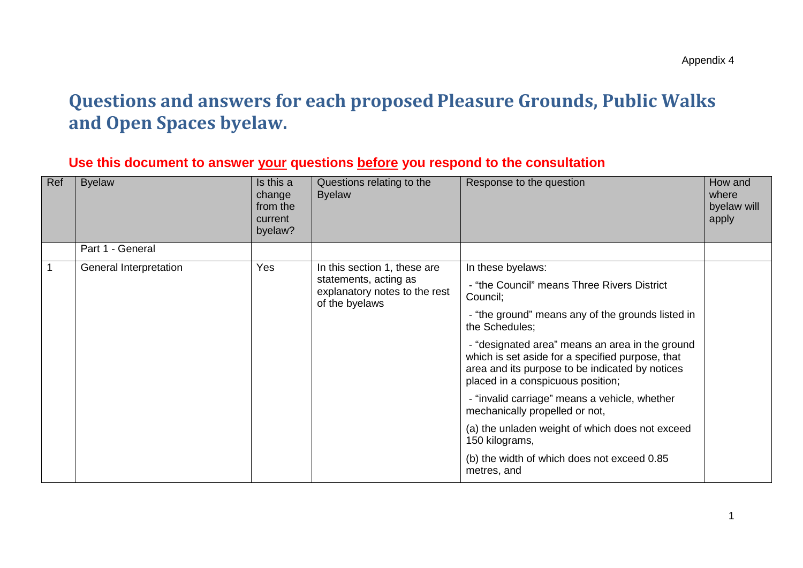## **Questions and answers for each proposed Pleasure Grounds, Public Walks and Open Spaces byelaw.**

## **Use this document to answer your questions before you respond to the consultation**

| Ref | <b>Byelaw</b>          | Is this a<br>change<br>from the<br>current<br>byelaw?                           | Questions relating to the<br><b>Byelaw</b>                                                               | Response to the question                                                                                                                                                                    | How and<br>where<br>byelaw will<br>apply |
|-----|------------------------|---------------------------------------------------------------------------------|----------------------------------------------------------------------------------------------------------|---------------------------------------------------------------------------------------------------------------------------------------------------------------------------------------------|------------------------------------------|
|     | Part 1 - General       |                                                                                 |                                                                                                          |                                                                                                                                                                                             |                                          |
|     | General Interpretation | Yes                                                                             | In this section 1, these are<br>statements, acting as<br>explanatory notes to the rest<br>of the byelaws | In these byelaws:                                                                                                                                                                           |                                          |
|     |                        |                                                                                 |                                                                                                          | - "the Council" means Three Rivers District<br>Council;                                                                                                                                     |                                          |
|     |                        |                                                                                 |                                                                                                          | - "the ground" means any of the grounds listed in<br>the Schedules;                                                                                                                         |                                          |
|     |                        |                                                                                 |                                                                                                          | - "designated area" means an area in the ground<br>which is set aside for a specified purpose, that<br>area and its purpose to be indicated by notices<br>placed in a conspicuous position; |                                          |
|     |                        | - "invalid carriage" means a vehicle, whether<br>mechanically propelled or not, |                                                                                                          |                                                                                                                                                                                             |                                          |
|     |                        |                                                                                 |                                                                                                          | (a) the unladen weight of which does not exceed<br>150 kilograms,                                                                                                                           |                                          |
|     |                        |                                                                                 |                                                                                                          | (b) the width of which does not exceed 0.85<br>metres, and                                                                                                                                  |                                          |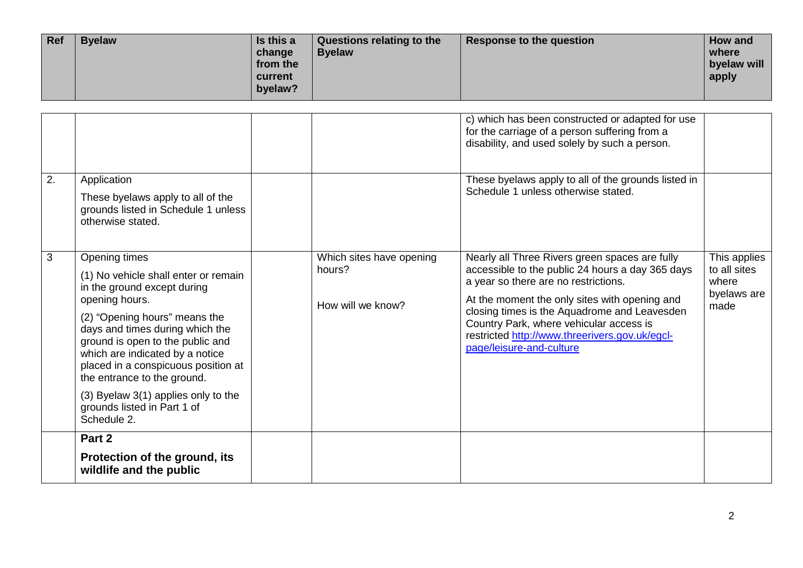| <b>Ref</b> | <b>Byelaw</b> | Is this a<br>change<br>from the<br>current<br>byelaw? | Questions relating to the<br><b>Byelaw</b> | Response to the question | How and<br>where<br>byelaw will<br>apply |
|------------|---------------|-------------------------------------------------------|--------------------------------------------|--------------------------|------------------------------------------|
|------------|---------------|-------------------------------------------------------|--------------------------------------------|--------------------------|------------------------------------------|

|    |                                                                                                                                                                                                               |                                                         | c) which has been constructed or adapted for use<br>for the carriage of a person suffering from a<br>disability, and used solely by such a person.                                          |                                                              |
|----|---------------------------------------------------------------------------------------------------------------------------------------------------------------------------------------------------------------|---------------------------------------------------------|---------------------------------------------------------------------------------------------------------------------------------------------------------------------------------------------|--------------------------------------------------------------|
| 2. | Application<br>These byelaws apply to all of the<br>grounds listed in Schedule 1 unless<br>otherwise stated.                                                                                                  |                                                         | These byelaws apply to all of the grounds listed in<br>Schedule 1 unless otherwise stated.                                                                                                  |                                                              |
| 3  | Opening times<br>(1) No vehicle shall enter or remain<br>in the ground except during<br>opening hours.                                                                                                        | Which sites have opening<br>hours?<br>How will we know? | Nearly all Three Rivers green spaces are fully<br>accessible to the public 24 hours a day 365 days<br>a year so there are no restrictions.<br>At the moment the only sites with opening and | This applies<br>to all sites<br>where<br>byelaws are<br>made |
|    | (2) "Opening hours" means the<br>days and times during which the<br>ground is open to the public and<br>which are indicated by a notice<br>placed in a conspicuous position at<br>the entrance to the ground. |                                                         | closing times is the Aquadrome and Leavesden<br>Country Park, where vehicular access is<br>restricted http://www.threerivers.gov.uk/egcl-<br>page/leisure-and-culture                       |                                                              |
|    | (3) Byelaw 3(1) applies only to the<br>grounds listed in Part 1 of<br>Schedule 2.                                                                                                                             |                                                         |                                                                                                                                                                                             |                                                              |
|    | Part 2                                                                                                                                                                                                        |                                                         |                                                                                                                                                                                             |                                                              |
|    | Protection of the ground, its<br>wildlife and the public                                                                                                                                                      |                                                         |                                                                                                                                                                                             |                                                              |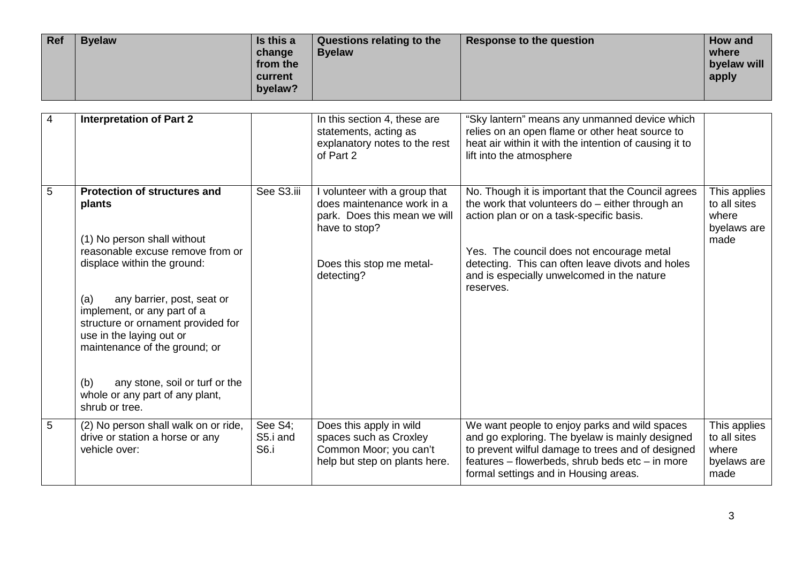| Ref | Is this a<br><b>Byelaw</b><br>change<br>from the<br>current<br>byelaw? | Questions relating to the<br><b>Byelaw</b> | Response to the question | How and<br>where<br>byelaw will<br>apply |
|-----|------------------------------------------------------------------------|--------------------------------------------|--------------------------|------------------------------------------|
|-----|------------------------------------------------------------------------|--------------------------------------------|--------------------------|------------------------------------------|

| $\overline{4}$ | <b>Interpretation of Part 2</b>                                                                                                                                                                                                                                                                                                                                                                                      |                             | In this section 4, these are<br>statements, acting as<br>explanatory notes to the rest<br>of Part 2                                                    | "Sky lantern" means any unmanned device which<br>relies on an open flame or other heat source to<br>heat air within it with the intention of causing it to<br>lift into the atmosphere                                                                                                                        |                                                              |
|----------------|----------------------------------------------------------------------------------------------------------------------------------------------------------------------------------------------------------------------------------------------------------------------------------------------------------------------------------------------------------------------------------------------------------------------|-----------------------------|--------------------------------------------------------------------------------------------------------------------------------------------------------|---------------------------------------------------------------------------------------------------------------------------------------------------------------------------------------------------------------------------------------------------------------------------------------------------------------|--------------------------------------------------------------|
| 5              | <b>Protection of structures and</b><br>plants<br>(1) No person shall without<br>reasonable excuse remove from or<br>displace within the ground:<br>any barrier, post, seat or<br>(a)<br>implement, or any part of a<br>structure or ornament provided for<br>use in the laying out or<br>maintenance of the ground; or<br>any stone, soil or turf or the<br>(b)<br>whole or any part of any plant,<br>shrub or tree. | See S3.iii                  | I volunteer with a group that<br>does maintenance work in a<br>park. Does this mean we will<br>have to stop?<br>Does this stop me metal-<br>detecting? | No. Though it is important that the Council agrees<br>the work that volunteers do - either through an<br>action plan or on a task-specific basis.<br>Yes. The council does not encourage metal<br>detecting. This can often leave divots and holes<br>and is especially unwelcomed in the nature<br>reserves. | This applies<br>to all sites<br>where<br>byelaws are<br>made |
| $\overline{5}$ | (2) No person shall walk on or ride,<br>drive or station a horse or any<br>vehicle over:                                                                                                                                                                                                                                                                                                                             | See S4;<br>S5.i and<br>S6.i | Does this apply in wild<br>spaces such as Croxley<br>Common Moor; you can't<br>help but step on plants here.                                           | We want people to enjoy parks and wild spaces<br>and go exploring. The byelaw is mainly designed<br>to prevent wilful damage to trees and of designed<br>features - flowerbeds, shrub beds etc - in more<br>formal settings and in Housing areas.                                                             | This applies<br>to all sites<br>where<br>byelaws are<br>made |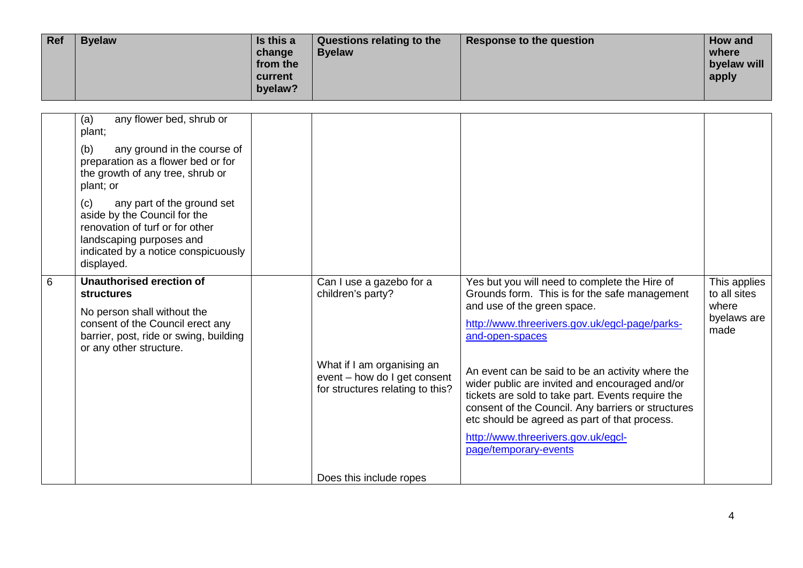| Ref | <b>Byelaw</b> | Is this a<br>change<br>from the<br>current<br>byelaw? | Questions relating to the<br><b>Byelaw</b> | Response to the question | How and<br>where<br>byelaw will<br>apply |
|-----|---------------|-------------------------------------------------------|--------------------------------------------|--------------------------|------------------------------------------|
|-----|---------------|-------------------------------------------------------|--------------------------------------------|--------------------------|------------------------------------------|

|   | any flower bed, shrub or<br>(a)<br>plant;<br>any ground in the course of<br>(b)<br>preparation as a flower bed or for<br>the growth of any tree, shrub or<br>plant; or<br>(c)<br>any part of the ground set<br>aside by the Council for the<br>renovation of turf or for other<br>landscaping purposes and<br>indicated by a notice conspicuously<br>displayed. |                                                                                                                                                 |                                                                                                                                                                                                                                                                                                                                                                                                                                                                                                                                      |                                                              |
|---|-----------------------------------------------------------------------------------------------------------------------------------------------------------------------------------------------------------------------------------------------------------------------------------------------------------------------------------------------------------------|-------------------------------------------------------------------------------------------------------------------------------------------------|--------------------------------------------------------------------------------------------------------------------------------------------------------------------------------------------------------------------------------------------------------------------------------------------------------------------------------------------------------------------------------------------------------------------------------------------------------------------------------------------------------------------------------------|--------------------------------------------------------------|
| 6 | <b>Unauthorised erection of</b><br><b>structures</b><br>No person shall without the<br>consent of the Council erect any<br>barrier, post, ride or swing, building<br>or any other structure.                                                                                                                                                                    | Can I use a gazebo for a<br>children's party?<br>What if I am organising an<br>event - how do I get consent<br>for structures relating to this? | Yes but you will need to complete the Hire of<br>Grounds form. This is for the safe management<br>and use of the green space.<br>http://www.threerivers.gov.uk/egcl-page/parks-<br>and-open-spaces<br>An event can be said to be an activity where the<br>wider public are invited and encouraged and/or<br>tickets are sold to take part. Events require the<br>consent of the Council. Any barriers or structures<br>etc should be agreed as part of that process.<br>http://www.threerivers.gov.uk/egcl-<br>page/temporary-events | This applies<br>to all sites<br>where<br>byelaws are<br>made |
|   |                                                                                                                                                                                                                                                                                                                                                                 | Does this include ropes                                                                                                                         |                                                                                                                                                                                                                                                                                                                                                                                                                                                                                                                                      |                                                              |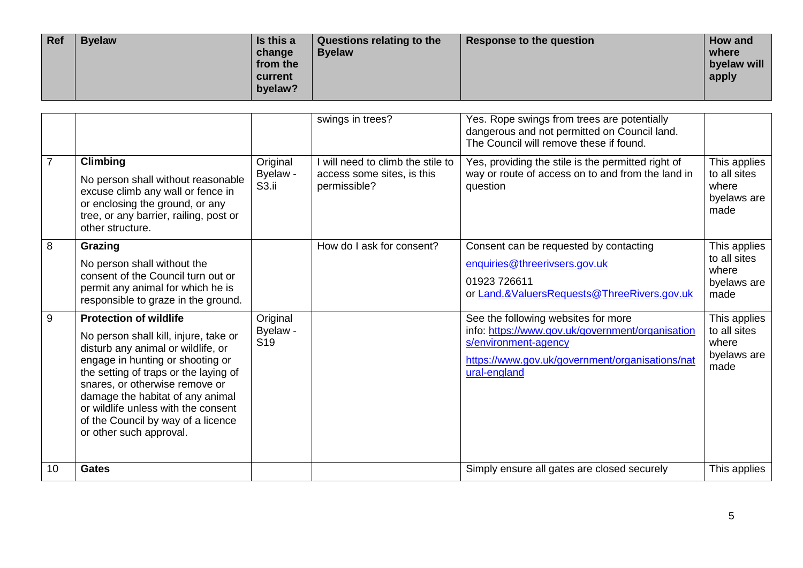| Ref | <b>Byelaw</b> | Is this a<br>change<br>from the<br>current<br>byelaw? | Questions relating to the<br><b>Byelaw</b> | Response to the question | How and<br>where<br>byelaw will<br>apply |
|-----|---------------|-------------------------------------------------------|--------------------------------------------|--------------------------|------------------------------------------|
|-----|---------------|-------------------------------------------------------|--------------------------------------------|--------------------------|------------------------------------------|

|                |                                                                                                                                                                                                                                                                                                                                                                         |                                           | swings in trees?                                                                | Yes. Rope swings from trees are potentially<br>dangerous and not permitted on Council land.<br>The Council will remove these if found.                                             |                                                              |
|----------------|-------------------------------------------------------------------------------------------------------------------------------------------------------------------------------------------------------------------------------------------------------------------------------------------------------------------------------------------------------------------------|-------------------------------------------|---------------------------------------------------------------------------------|------------------------------------------------------------------------------------------------------------------------------------------------------------------------------------|--------------------------------------------------------------|
| $\overline{7}$ | <b>Climbing</b><br>No person shall without reasonable<br>excuse climb any wall or fence in<br>or enclosing the ground, or any<br>tree, or any barrier, railing, post or<br>other structure.                                                                                                                                                                             | Original<br>Byelaw -<br>S <sub>3.ii</sub> | I will need to climb the stile to<br>access some sites, is this<br>permissible? | Yes, providing the stile is the permitted right of<br>way or route of access on to and from the land in<br>question                                                                | This applies<br>to all sites<br>where<br>byelaws are<br>made |
| 8              | Grazing<br>No person shall without the<br>consent of the Council turn out or<br>permit any animal for which he is<br>responsible to graze in the ground.                                                                                                                                                                                                                |                                           | How do I ask for consent?                                                       | Consent can be requested by contacting<br>enquiries@threerivsers.gov.uk<br>01923 726611<br>or Land.&ValuersRequests@ThreeRivers.gov.uk                                             | This applies<br>to all sites<br>where<br>byelaws are<br>made |
| 9              | <b>Protection of wildlife</b><br>No person shall kill, injure, take or<br>disturb any animal or wildlife, or<br>engage in hunting or shooting or<br>the setting of traps or the laying of<br>snares, or otherwise remove or<br>damage the habitat of any animal<br>or wildlife unless with the consent<br>of the Council by way of a licence<br>or other such approval. | Original<br>Byelaw -<br>S <sub>19</sub>   |                                                                                 | See the following websites for more<br>info: https://www.gov.uk/government/organisation<br>s/environment-agency<br>https://www.gov.uk/government/organisations/nat<br>ural-england | This applies<br>to all sites<br>where<br>byelaws are<br>made |
| 10             | <b>Gates</b>                                                                                                                                                                                                                                                                                                                                                            |                                           |                                                                                 | Simply ensure all gates are closed securely                                                                                                                                        | This applies                                                 |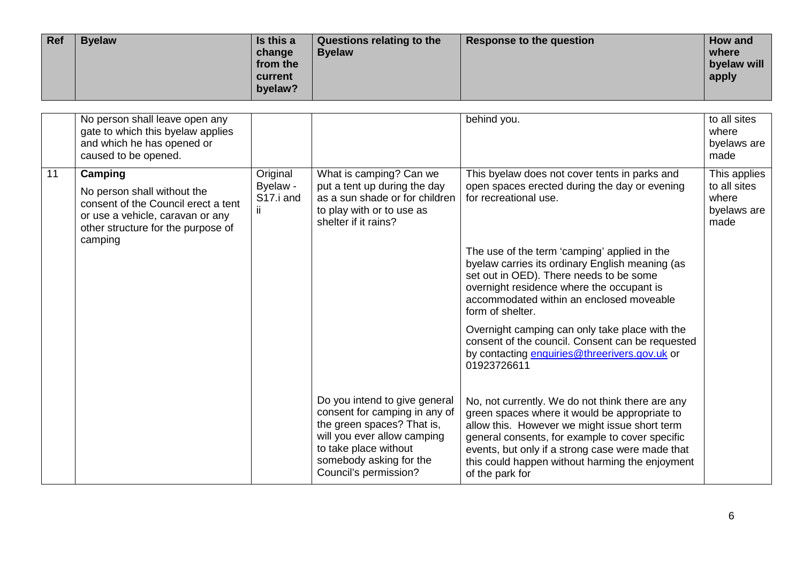| Ref | <b>Byelaw</b> | Is this a<br>change<br>from the<br>current<br>byelaw? | Questions relating to the<br><b>Byelaw</b> | Response to the question | How and<br>where<br>byelaw will<br>apply |
|-----|---------------|-------------------------------------------------------|--------------------------------------------|--------------------------|------------------------------------------|
|-----|---------------|-------------------------------------------------------|--------------------------------------------|--------------------------|------------------------------------------|

|    | No person shall leave open any<br>gate to which this byelaw applies<br>and which he has opened or<br>caused to be opened.                                          |                                                       |                                                                                                                                                                                                          | behind you.                                                                                                                                                                                                                                                                                                                     | to all sites<br>where<br>byelaws are<br>made                 |
|----|--------------------------------------------------------------------------------------------------------------------------------------------------------------------|-------------------------------------------------------|----------------------------------------------------------------------------------------------------------------------------------------------------------------------------------------------------------|---------------------------------------------------------------------------------------------------------------------------------------------------------------------------------------------------------------------------------------------------------------------------------------------------------------------------------|--------------------------------------------------------------|
| 11 | Camping<br>No person shall without the<br>consent of the Council erect a tent<br>or use a vehicle, caravan or any<br>other structure for the purpose of<br>camping | Original<br>Byelaw -<br>S <sub>17</sub> .i and<br>ij. | What is camping? Can we<br>put a tent up during the day<br>as a sun shade or for children<br>to play with or to use as<br>shelter if it rains?                                                           | This byelaw does not cover tents in parks and<br>open spaces erected during the day or evening<br>for recreational use.                                                                                                                                                                                                         | This applies<br>to all sites<br>where<br>byelaws are<br>made |
|    |                                                                                                                                                                    |                                                       |                                                                                                                                                                                                          | The use of the term 'camping' applied in the<br>byelaw carries its ordinary English meaning (as<br>set out in OED). There needs to be some<br>overnight residence where the occupant is<br>accommodated within an enclosed moveable<br>form of shelter.                                                                         |                                                              |
|    |                                                                                                                                                                    |                                                       |                                                                                                                                                                                                          | Overnight camping can only take place with the<br>consent of the council. Consent can be requested<br>by contacting enquiries@threerivers.gov.uk or<br>01923726611                                                                                                                                                              |                                                              |
|    |                                                                                                                                                                    |                                                       | Do you intend to give general<br>consent for camping in any of<br>the green spaces? That is,<br>will you ever allow camping<br>to take place without<br>somebody asking for the<br>Council's permission? | No, not currently. We do not think there are any<br>green spaces where it would be appropriate to<br>allow this. However we might issue short term<br>general consents, for example to cover specific<br>events, but only if a strong case were made that<br>this could happen without harming the enjoyment<br>of the park for |                                                              |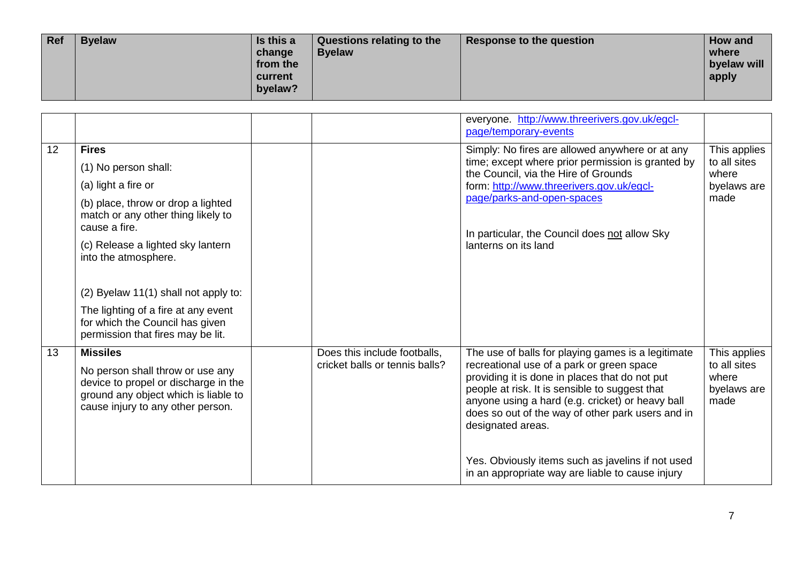| Ref | <b>Byelaw</b> | Is this a<br>change<br>from the<br>current<br>byelaw? | Questions relating to the<br><b>Byelaw</b> | Response to the question | How and<br>where<br>byelaw will<br>apply |
|-----|---------------|-------------------------------------------------------|--------------------------------------------|--------------------------|------------------------------------------|
|-----|---------------|-------------------------------------------------------|--------------------------------------------|--------------------------|------------------------------------------|

|    |                                                                                                                                                                                                                                                                                                                                         |                                                                | everyone. http://www.threerivers.gov.uk/egcl-<br>page/temporary-events                                                                                                                                                                                                                                                            |                                                              |
|----|-----------------------------------------------------------------------------------------------------------------------------------------------------------------------------------------------------------------------------------------------------------------------------------------------------------------------------------------|----------------------------------------------------------------|-----------------------------------------------------------------------------------------------------------------------------------------------------------------------------------------------------------------------------------------------------------------------------------------------------------------------------------|--------------------------------------------------------------|
| 12 | <b>Fires</b><br>(1) No person shall:<br>(a) light a fire or<br>(b) place, throw or drop a lighted<br>match or any other thing likely to<br>cause a fire.<br>(c) Release a lighted sky lantern<br>into the atmosphere.<br>(2) Byelaw 11(1) shall not apply to:<br>The lighting of a fire at any event<br>for which the Council has given |                                                                | Simply: No fires are allowed anywhere or at any<br>time; except where prior permission is granted by<br>the Council, via the Hire of Grounds<br>form: http://www.threerivers.gov.uk/egcl-<br>page/parks-and-open-spaces<br>In particular, the Council does not allow Sky<br>lanterns on its land                                  | This applies<br>to all sites<br>where<br>byelaws are<br>made |
|    | permission that fires may be lit.                                                                                                                                                                                                                                                                                                       |                                                                |                                                                                                                                                                                                                                                                                                                                   |                                                              |
| 13 | <b>Missiles</b><br>No person shall throw or use any<br>device to propel or discharge in the<br>ground any object which is liable to<br>cause injury to any other person.                                                                                                                                                                | Does this include footballs,<br>cricket balls or tennis balls? | The use of balls for playing games is a legitimate<br>recreational use of a park or green space<br>providing it is done in places that do not put<br>people at risk. It is sensible to suggest that<br>anyone using a hard (e.g. cricket) or heavy ball<br>does so out of the way of other park users and in<br>designated areas. | This applies<br>to all sites<br>where<br>byelaws are<br>made |
|    |                                                                                                                                                                                                                                                                                                                                         |                                                                | Yes. Obviously items such as javelins if not used<br>in an appropriate way are liable to cause injury                                                                                                                                                                                                                             |                                                              |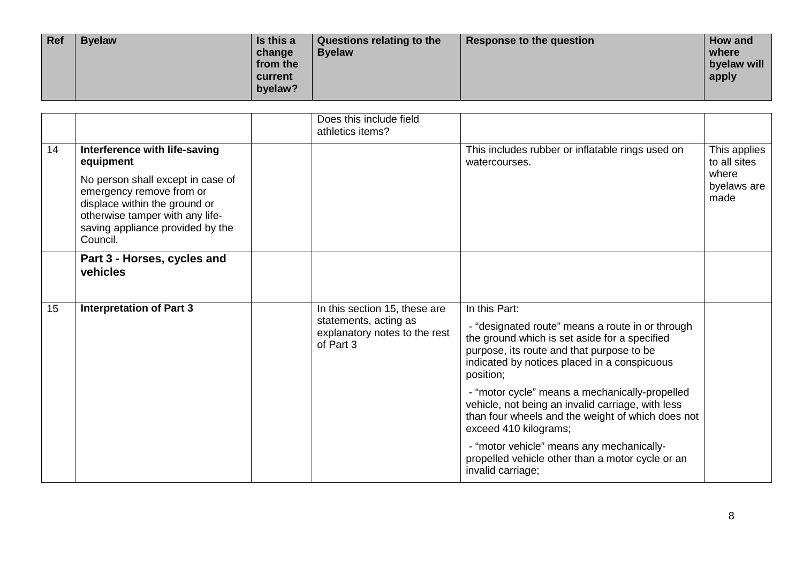| Ref | <b>Byelaw</b> | Is this a<br>change<br>from the<br>current<br>byelaw? | Questions relating to the<br><b>Byelaw</b> | Response to the question | How and<br>where<br>byelaw will<br>apply |
|-----|---------------|-------------------------------------------------------|--------------------------------------------|--------------------------|------------------------------------------|
|-----|---------------|-------------------------------------------------------|--------------------------------------------|--------------------------|------------------------------------------|

|    |                                                                                                                                                                                   |                                                                     | Does this include field<br>athletics items?                                                                                                                                                                 |                                                                                                                                                                                   |                              |
|----|-----------------------------------------------------------------------------------------------------------------------------------------------------------------------------------|---------------------------------------------------------------------|-------------------------------------------------------------------------------------------------------------------------------------------------------------------------------------------------------------|-----------------------------------------------------------------------------------------------------------------------------------------------------------------------------------|------------------------------|
| 14 | Interference with life-saving<br>equipment                                                                                                                                        |                                                                     |                                                                                                                                                                                                             | This includes rubber or inflatable rings used on<br>watercourses.                                                                                                                 | This applies<br>to all sites |
|    | No person shall except in case of<br>emergency remove from or<br>displace within the ground or<br>otherwise tamper with any life-<br>saving appliance provided by the<br>Council. |                                                                     |                                                                                                                                                                                                             |                                                                                                                                                                                   | where<br>byelaws are<br>made |
|    | Part 3 - Horses, cycles and<br>vehicles                                                                                                                                           |                                                                     |                                                                                                                                                                                                             |                                                                                                                                                                                   |                              |
| 15 | <b>Interpretation of Part 3</b>                                                                                                                                                   |                                                                     | In this section 15, these are                                                                                                                                                                               | In this Part:                                                                                                                                                                     |                              |
|    |                                                                                                                                                                                   | statements, acting as<br>explanatory notes to the rest<br>of Part 3 | - "designated route" means a route in or through<br>the ground which is set aside for a specified<br>purpose, its route and that purpose to be<br>indicated by notices placed in a conspicuous<br>position; |                                                                                                                                                                                   |                              |
|    |                                                                                                                                                                                   |                                                                     |                                                                                                                                                                                                             | - "motor cycle" means a mechanically-propelled<br>vehicle, not being an invalid carriage, with less<br>than four wheels and the weight of which does not<br>exceed 410 kilograms; |                              |
|    |                                                                                                                                                                                   |                                                                     |                                                                                                                                                                                                             | - "motor vehicle" means any mechanically-<br>propelled vehicle other than a motor cycle or an<br>invalid carriage;                                                                |                              |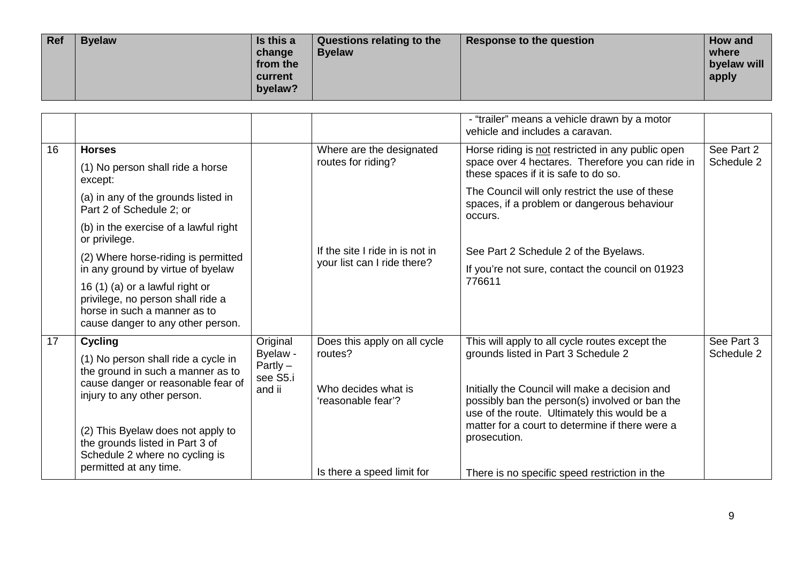| Ref | <b>Byelaw</b> | Is this a<br>change<br>from the<br>current<br>byelaw? | Questions relating to the<br><b>Byelaw</b> | Response to the question | How and<br>where<br>byelaw will<br>apply |
|-----|---------------|-------------------------------------------------------|--------------------------------------------|--------------------------|------------------------------------------|
|-----|---------------|-------------------------------------------------------|--------------------------------------------|--------------------------|------------------------------------------|

|    |                                                                                                                                           |                                    |                                           | - "trailer" means a vehicle drawn by a motor<br>vehicle and includes a caravan.                                                                  |            |
|----|-------------------------------------------------------------------------------------------------------------------------------------------|------------------------------------|-------------------------------------------|--------------------------------------------------------------------------------------------------------------------------------------------------|------------|
| 16 | <b>Horses</b>                                                                                                                             |                                    | Where are the designated                  | Horse riding is not restricted in any public open                                                                                                | See Part 2 |
|    | (1) No person shall ride a horse<br>except:                                                                                               |                                    | routes for riding?                        | space over 4 hectares. Therefore you can ride in<br>these spaces if it is safe to do so.                                                         | Schedule 2 |
|    | (a) in any of the grounds listed in<br>Part 2 of Schedule 2; or                                                                           |                                    |                                           | The Council will only restrict the use of these<br>spaces, if a problem or dangerous behaviour<br>occurs.                                        |            |
|    | (b) in the exercise of a lawful right<br>or privilege.                                                                                    |                                    |                                           |                                                                                                                                                  |            |
|    | (2) Where horse-riding is permitted                                                                                                       |                                    | If the site I ride in is not in           | See Part 2 Schedule 2 of the Byelaws.                                                                                                            |            |
|    | in any ground by virtue of byelaw                                                                                                         |                                    | your list can I ride there?               | If you're not sure, contact the council on 01923                                                                                                 |            |
|    | 16 (1) (a) or a lawful right or<br>privilege, no person shall ride a<br>horse in such a manner as to<br>cause danger to any other person. |                                    |                                           | 776611                                                                                                                                           |            |
| 17 | <b>Cycling</b>                                                                                                                            | Original                           | Does this apply on all cycle              | This will apply to all cycle routes except the                                                                                                   | See Part 3 |
|    | (1) No person shall ride a cycle in<br>the ground in such a manner as to                                                                  | Byelaw -<br>$Partly -$<br>see S5.i | routes?                                   | grounds listed in Part 3 Schedule 2                                                                                                              | Schedule 2 |
|    | cause danger or reasonable fear of<br>injury to any other person.                                                                         | and ii                             | Who decides what is<br>'reasonable fear'? | Initially the Council will make a decision and<br>possibly ban the person(s) involved or ban the<br>use of the route. Ultimately this would be a |            |
|    | (2) This Byelaw does not apply to<br>the grounds listed in Part 3 of<br>Schedule 2 where no cycling is                                    |                                    |                                           | matter for a court to determine if there were a<br>prosecution.                                                                                  |            |
|    | permitted at any time.                                                                                                                    |                                    | Is there a speed limit for                | There is no specific speed restriction in the                                                                                                    |            |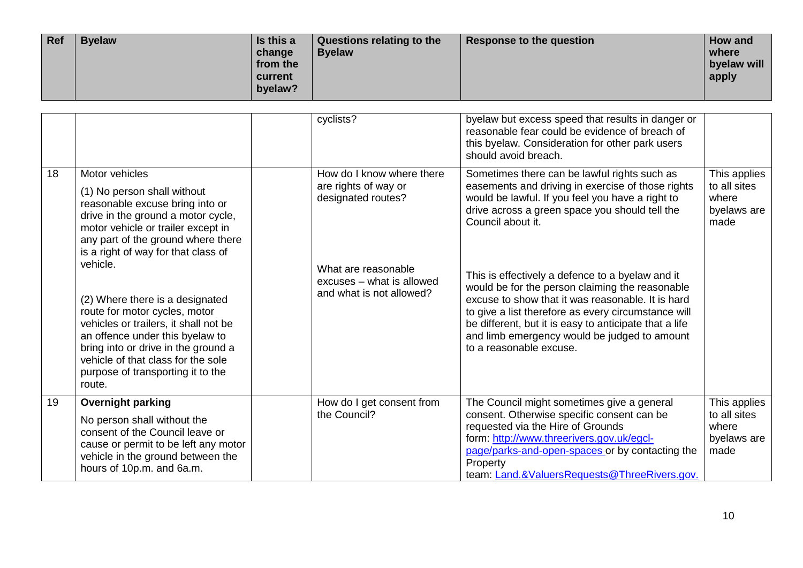| Ref | <b>Byelaw</b> | Is this a<br>change<br>from the<br>current<br>byelaw? | Questions relating to the<br><b>Byelaw</b> | Response to the question | How and<br>where<br>byelaw will<br>apply |
|-----|---------------|-------------------------------------------------------|--------------------------------------------|--------------------------|------------------------------------------|
|-----|---------------|-------------------------------------------------------|--------------------------------------------|--------------------------|------------------------------------------|

|    |                                                                                                                                                                                                                                                                                      | cyclists?                                                                    | byelaw but excess speed that results in danger or<br>reasonable fear could be evidence of breach of<br>this byelaw. Consideration for other park users<br>should avoid breach.                                                                                                                                                                       |                                                              |
|----|--------------------------------------------------------------------------------------------------------------------------------------------------------------------------------------------------------------------------------------------------------------------------------------|------------------------------------------------------------------------------|------------------------------------------------------------------------------------------------------------------------------------------------------------------------------------------------------------------------------------------------------------------------------------------------------------------------------------------------------|--------------------------------------------------------------|
| 18 | Motor vehicles<br>(1) No person shall without<br>reasonable excuse bring into or<br>drive in the ground a motor cycle,<br>motor vehicle or trailer except in<br>any part of the ground where there<br>is a right of way for that class of                                            | How do I know where there<br>are rights of way or<br>designated routes?      | Sometimes there can be lawful rights such as<br>easements and driving in exercise of those rights<br>would be lawful. If you feel you have a right to<br>drive across a green space you should tell the<br>Council about it.                                                                                                                         | This applies<br>to all sites<br>where<br>byelaws are<br>made |
|    | vehicle.<br>(2) Where there is a designated<br>route for motor cycles, motor<br>vehicles or trailers, it shall not be<br>an offence under this byelaw to<br>bring into or drive in the ground a<br>vehicle of that class for the sole<br>purpose of transporting it to the<br>route. | What are reasonable<br>excuses - what is allowed<br>and what is not allowed? | This is effectively a defence to a byelaw and it<br>would be for the person claiming the reasonable<br>excuse to show that it was reasonable. It is hard<br>to give a list therefore as every circumstance will<br>be different, but it is easy to anticipate that a life<br>and limb emergency would be judged to amount<br>to a reasonable excuse. |                                                              |
| 19 | <b>Overnight parking</b><br>No person shall without the<br>consent of the Council leave or<br>cause or permit to be left any motor<br>vehicle in the ground between the<br>hours of 10p.m. and 6a.m.                                                                                 | How do I get consent from<br>the Council?                                    | The Council might sometimes give a general<br>consent. Otherwise specific consent can be<br>requested via the Hire of Grounds<br>form: http://www.threerivers.gov.uk/egcl-<br>page/parks-and-open-spaces or by contacting the<br>Property<br>team: Land.&ValuersRequests@ThreeRivers.gov.                                                            | This applies<br>to all sites<br>where<br>byelaws are<br>made |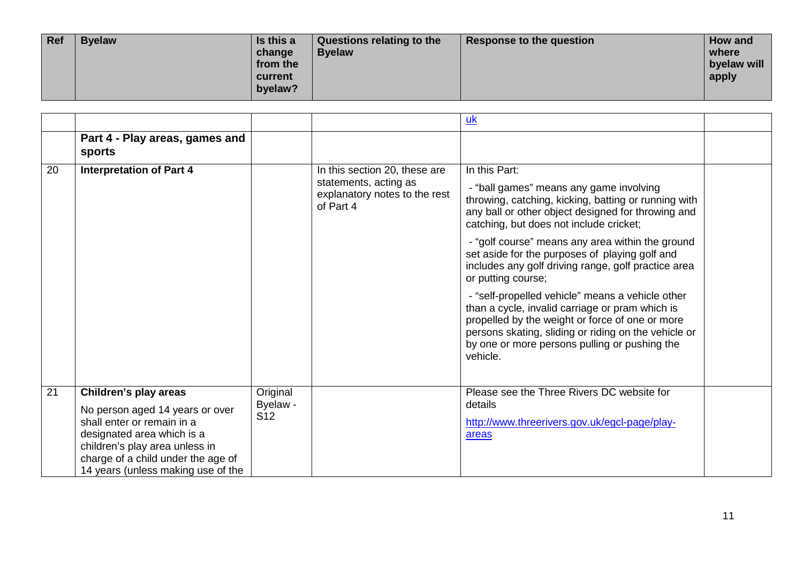| Ref | <b>Byelaw</b> | Is this a<br>change<br>from the<br>current<br>byelaw? | Questions relating to the<br><b>Byelaw</b> | Response to the question | <b>How and</b><br>where<br>byelaw will<br>apply |
|-----|---------------|-------------------------------------------------------|--------------------------------------------|--------------------------|-------------------------------------------------|
|-----|---------------|-------------------------------------------------------|--------------------------------------------|--------------------------|-------------------------------------------------|

|    |                                                                                                                                                                                                                                    |                                         |                                                                                                      | <u>uk</u>                                                                                                                                                                                                                                                                   |  |
|----|------------------------------------------------------------------------------------------------------------------------------------------------------------------------------------------------------------------------------------|-----------------------------------------|------------------------------------------------------------------------------------------------------|-----------------------------------------------------------------------------------------------------------------------------------------------------------------------------------------------------------------------------------------------------------------------------|--|
|    | Part 4 - Play areas, games and<br>sports                                                                                                                                                                                           |                                         |                                                                                                      |                                                                                                                                                                                                                                                                             |  |
| 20 | <b>Interpretation of Part 4</b>                                                                                                                                                                                                    |                                         | In this section 20, these are<br>statements, acting as<br>explanatory notes to the rest<br>of Part 4 | In this Part:<br>- "ball games" means any game involving<br>throwing, catching, kicking, batting or running with<br>any ball or other object designed for throwing and<br>catching, but does not include cricket;                                                           |  |
|    |                                                                                                                                                                                                                                    |                                         |                                                                                                      | - "golf course" means any area within the ground<br>set aside for the purposes of playing golf and<br>includes any golf driving range, golf practice area<br>or putting course;                                                                                             |  |
|    |                                                                                                                                                                                                                                    |                                         |                                                                                                      | - "self-propelled vehicle" means a vehicle other<br>than a cycle, invalid carriage or pram which is<br>propelled by the weight or force of one or more<br>persons skating, sliding or riding on the vehicle or<br>by one or more persons pulling or pushing the<br>vehicle. |  |
| 21 | Children's play areas<br>No person aged 14 years or over<br>shall enter or remain in a<br>designated area which is a<br>children's play area unless in<br>charge of a child under the age of<br>14 years (unless making use of the | Original<br>Byelaw -<br>S <sub>12</sub> |                                                                                                      | Please see the Three Rivers DC website for<br>details<br>http://www.threerivers.gov.uk/egcl-page/play-<br>areas                                                                                                                                                             |  |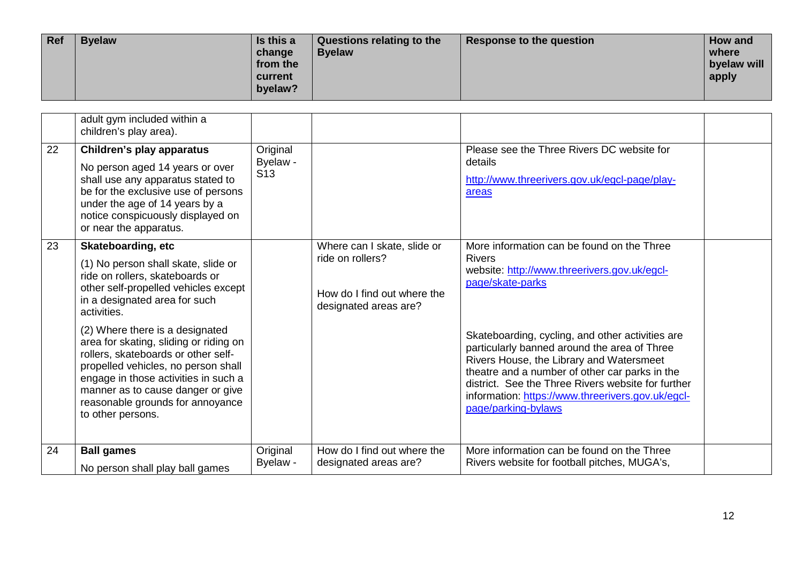| Ref | <b>Byelaw</b> | Is this a<br>change<br>from the<br>current<br>byelaw? | Questions relating to the<br><b>Byelaw</b> | Response to the question | How and<br>where<br>byelaw will<br>apply |
|-----|---------------|-------------------------------------------------------|--------------------------------------------|--------------------------|------------------------------------------|
|-----|---------------|-------------------------------------------------------|--------------------------------------------|--------------------------|------------------------------------------|

|    | adult gym included within a<br>children's play area).                                                                                                                                                                                                                                         |                                         |                                                                                                         |                                                                                                                                                                                                                                                                                                                                  |  |
|----|-----------------------------------------------------------------------------------------------------------------------------------------------------------------------------------------------------------------------------------------------------------------------------------------------|-----------------------------------------|---------------------------------------------------------------------------------------------------------|----------------------------------------------------------------------------------------------------------------------------------------------------------------------------------------------------------------------------------------------------------------------------------------------------------------------------------|--|
| 22 | Children's play apparatus<br>No person aged 14 years or over<br>shall use any apparatus stated to<br>be for the exclusive use of persons<br>under the age of 14 years by a<br>notice conspicuously displayed on<br>or near the apparatus.                                                     | Original<br>Byelaw -<br>S <sub>13</sub> |                                                                                                         | Please see the Three Rivers DC website for<br>details<br>http://www.threerivers.gov.uk/egcl-page/play-<br>areas                                                                                                                                                                                                                  |  |
| 23 | <b>Skateboarding, etc</b><br>(1) No person shall skate, slide or<br>ride on rollers, skateboards or<br>other self-propelled vehicles except<br>in a designated area for such<br>activities.                                                                                                   |                                         | Where can I skate, slide or<br>ride on rollers?<br>How do I find out where the<br>designated areas are? | More information can be found on the Three<br><b>Rivers</b><br>website: http://www.threerivers.gov.uk/egcl-<br>page/skate-parks                                                                                                                                                                                                  |  |
|    | (2) Where there is a designated<br>area for skating, sliding or riding on<br>rollers, skateboards or other self-<br>propelled vehicles, no person shall<br>engage in those activities in such a<br>manner as to cause danger or give<br>reasonable grounds for annoyance<br>to other persons. |                                         |                                                                                                         | Skateboarding, cycling, and other activities are<br>particularly banned around the area of Three<br>Rivers House, the Library and Watersmeet<br>theatre and a number of other car parks in the<br>district. See the Three Rivers website for further<br>information: https://www.threerivers.gov.uk/egcl-<br>page/parking-bylaws |  |
| 24 | <b>Ball games</b><br>No person shall play ball games                                                                                                                                                                                                                                          | Original<br>Byelaw -                    | How do I find out where the<br>designated areas are?                                                    | More information can be found on the Three<br>Rivers website for football pitches, MUGA's,                                                                                                                                                                                                                                       |  |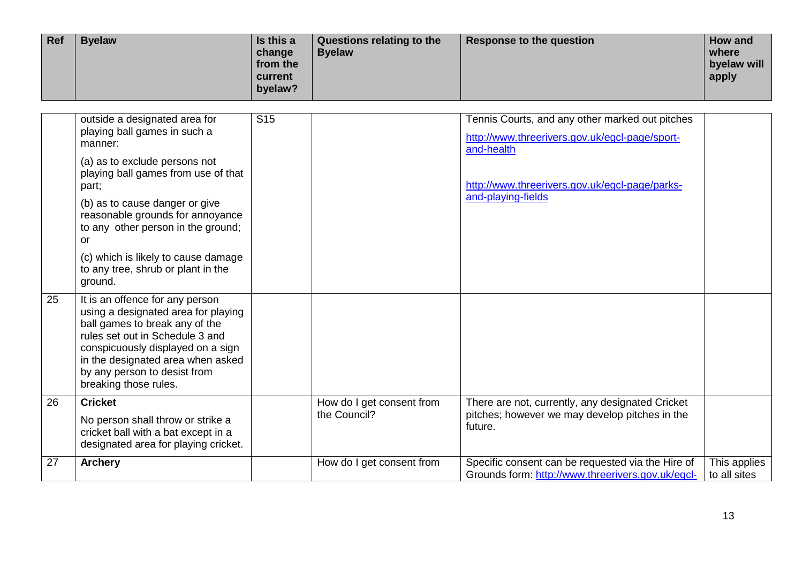| <b>Ref</b> | <b>Byelaw</b> | Is this a<br>change<br>from the<br>current<br>byelaw? | Questions relating to the<br><b>Byelaw</b> | Response to the question | How and<br>where<br>byelaw will<br>apply |
|------------|---------------|-------------------------------------------------------|--------------------------------------------|--------------------------|------------------------------------------|
|------------|---------------|-------------------------------------------------------|--------------------------------------------|--------------------------|------------------------------------------|

|                 | outside a designated area for<br>playing ball games in such a<br>manner:<br>(a) as to exclude persons not                                                                                                                                                                      | <b>S15</b> |                                           | Tennis Courts, and any other marked out pitches<br>http://www.threerivers.gov.uk/egcl-page/sport-<br>and-health |                              |
|-----------------|--------------------------------------------------------------------------------------------------------------------------------------------------------------------------------------------------------------------------------------------------------------------------------|------------|-------------------------------------------|-----------------------------------------------------------------------------------------------------------------|------------------------------|
|                 | playing ball games from use of that<br>part;                                                                                                                                                                                                                                   |            |                                           | http://www.threerivers.gov.uk/egcl-page/parks-                                                                  |                              |
|                 | (b) as to cause danger or give<br>reasonable grounds for annoyance<br>to any other person in the ground;<br>or                                                                                                                                                                 |            |                                           | and-playing-fields                                                                                              |                              |
|                 | (c) which is likely to cause damage<br>to any tree, shrub or plant in the<br>ground.                                                                                                                                                                                           |            |                                           |                                                                                                                 |                              |
| 25              | It is an offence for any person<br>using a designated area for playing<br>ball games to break any of the<br>rules set out in Schedule 3 and<br>conspicuously displayed on a sign<br>in the designated area when asked<br>by any person to desist from<br>breaking those rules. |            |                                           |                                                                                                                 |                              |
| $\overline{26}$ | <b>Cricket</b><br>No person shall throw or strike a<br>cricket ball with a bat except in a<br>designated area for playing cricket.                                                                                                                                             |            | How do I get consent from<br>the Council? | There are not, currently, any designated Cricket<br>pitches; however we may develop pitches in the<br>future.   |                              |
| 27              | <b>Archery</b>                                                                                                                                                                                                                                                                 |            | How do I get consent from                 | Specific consent can be requested via the Hire of<br>Grounds form: http://www.threerivers.gov.uk/egcl-          | This applies<br>to all sites |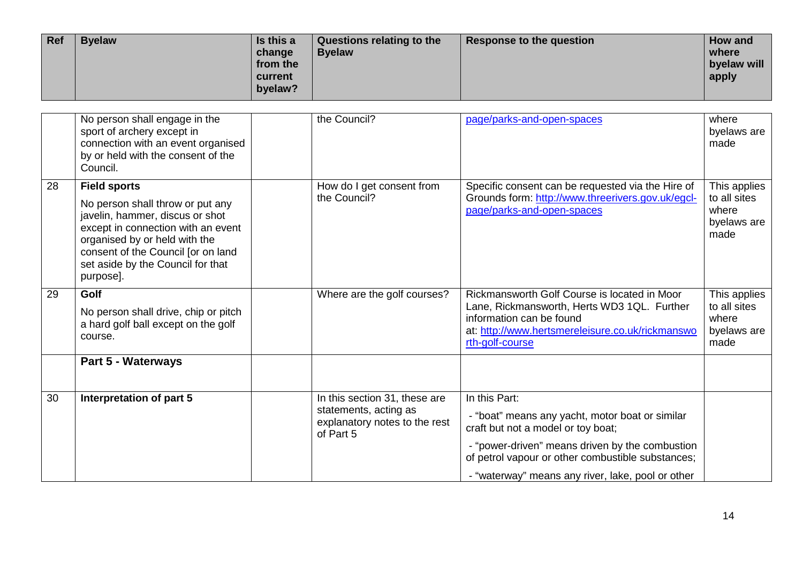| Ref | <b>Byelaw</b> | Is this a<br>change<br>from the<br>current<br>byelaw? | Questions relating to the<br><b>Byelaw</b> | Response to the question | How and<br>where<br>byelaw will<br>apply |
|-----|---------------|-------------------------------------------------------|--------------------------------------------|--------------------------|------------------------------------------|
|-----|---------------|-------------------------------------------------------|--------------------------------------------|--------------------------|------------------------------------------|

|    | No person shall engage in the<br>sport of archery except in<br>connection with an event organised<br>by or held with the consent of the<br>Council.                                                                                                       | the Council?                                                                                         | page/parks-and-open-spaces                                                                                                                                                                                                                                          | where<br>byelaws are<br>made                                 |
|----|-----------------------------------------------------------------------------------------------------------------------------------------------------------------------------------------------------------------------------------------------------------|------------------------------------------------------------------------------------------------------|---------------------------------------------------------------------------------------------------------------------------------------------------------------------------------------------------------------------------------------------------------------------|--------------------------------------------------------------|
| 28 | <b>Field sports</b><br>No person shall throw or put any<br>javelin, hammer, discus or shot<br>except in connection with an event<br>organised by or held with the<br>consent of the Council [or on land<br>set aside by the Council for that<br>purpose]. | How do I get consent from<br>the Council?                                                            | Specific consent can be requested via the Hire of<br>Grounds form: http://www.threerivers.gov.uk/egcl-<br>page/parks-and-open-spaces                                                                                                                                | This applies<br>to all sites<br>where<br>byelaws are<br>made |
| 29 | Golf<br>No person shall drive, chip or pitch<br>a hard golf ball except on the golf<br>course.                                                                                                                                                            | Where are the golf courses?                                                                          | Rickmansworth Golf Course is located in Moor<br>Lane, Rickmansworth, Herts WD3 1QL. Further<br>information can be found<br>at: http://www.hertsmereleisure.co.uk/rickmanswo<br>rth-golf-course                                                                      | This applies<br>to all sites<br>where<br>byelaws are<br>made |
|    | Part 5 - Waterways                                                                                                                                                                                                                                        |                                                                                                      |                                                                                                                                                                                                                                                                     |                                                              |
| 30 | Interpretation of part 5                                                                                                                                                                                                                                  | In this section 31, these are<br>statements, acting as<br>explanatory notes to the rest<br>of Part 5 | In this Part:<br>- "boat" means any yacht, motor boat or similar<br>craft but not a model or toy boat;<br>- "power-driven" means driven by the combustion<br>of petrol vapour or other combustible substances;<br>- "waterway" means any river, lake, pool or other |                                                              |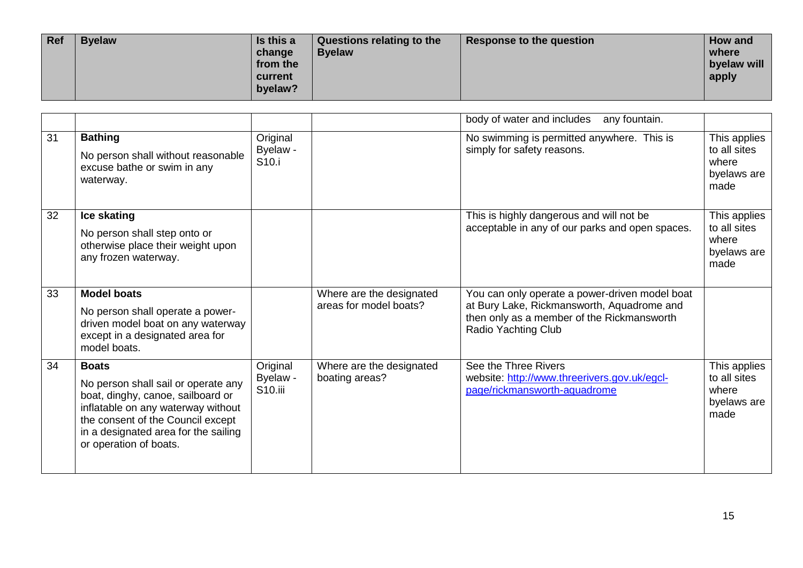| Ref | <b>Byelaw</b> | Is this a<br>change<br>from the<br>current<br>byelaw? | Questions relating to the<br><b>Byelaw</b> | Response to the question | How and<br>where<br>byelaw will<br>apply |
|-----|---------------|-------------------------------------------------------|--------------------------------------------|--------------------------|------------------------------------------|
|-----|---------------|-------------------------------------------------------|--------------------------------------------|--------------------------|------------------------------------------|

|    |                                                                                                                                                                                                                                       |                                           |                                                    | body of water and includes<br>any fountain.                                                                                                                              |                                                              |
|----|---------------------------------------------------------------------------------------------------------------------------------------------------------------------------------------------------------------------------------------|-------------------------------------------|----------------------------------------------------|--------------------------------------------------------------------------------------------------------------------------------------------------------------------------|--------------------------------------------------------------|
| 31 | <b>Bathing</b><br>No person shall without reasonable<br>excuse bathe or swim in any<br>waterway.                                                                                                                                      | Original<br>Byelaw -<br>S <sub>10.i</sub> |                                                    | No swimming is permitted anywhere. This is<br>simply for safety reasons.                                                                                                 | This applies<br>to all sites<br>where<br>byelaws are<br>made |
| 32 | Ice skating<br>No person shall step onto or<br>otherwise place their weight upon<br>any frozen waterway.                                                                                                                              |                                           |                                                    | This is highly dangerous and will not be<br>acceptable in any of our parks and open spaces.                                                                              | This applies<br>to all sites<br>where<br>byelaws are<br>made |
| 33 | <b>Model boats</b><br>No person shall operate a power-<br>driven model boat on any waterway<br>except in a designated area for<br>model boats.                                                                                        |                                           | Where are the designated<br>areas for model boats? | You can only operate a power-driven model boat<br>at Bury Lake, Rickmansworth, Aquadrome and<br>then only as a member of the Rickmansworth<br><b>Radio Yachting Club</b> |                                                              |
| 34 | <b>Boats</b><br>No person shall sail or operate any<br>boat, dinghy, canoe, sailboard or<br>inflatable on any waterway without<br>the consent of the Council except<br>in a designated area for the sailing<br>or operation of boats. | Original<br>Byelaw -<br>S10.iii           | Where are the designated<br>boating areas?         | See the Three Rivers<br>website: http://www.threerivers.gov.uk/egcl-<br>page/rickmansworth-aquadrome                                                                     | This applies<br>to all sites<br>where<br>byelaws are<br>made |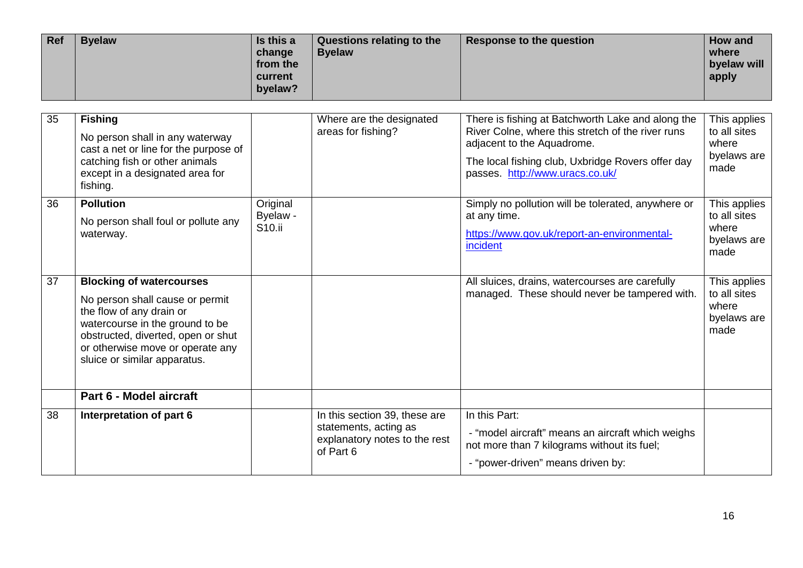| <b>Ref</b><br>Is this a<br><b>Byelaw</b><br>Questions relating to the<br>Response to the question<br><b>Byelaw</b><br>change<br>from the<br>current<br>byelaw? | <b>How and</b><br>where<br>byelaw will<br>apply |
|----------------------------------------------------------------------------------------------------------------------------------------------------------------|-------------------------------------------------|
|----------------------------------------------------------------------------------------------------------------------------------------------------------------|-------------------------------------------------|

| 35 | <b>Fishing</b><br>No person shall in any waterway<br>cast a net or line for the purpose of<br>catching fish or other animals<br>except in a designated area for<br>fishing.                                                                 |                                            | Where are the designated<br>areas for fishing?                                                       | There is fishing at Batchworth Lake and along the<br>River Colne, where this stretch of the river runs<br>adjacent to the Aquadrome.<br>The local fishing club, Uxbridge Rovers offer day<br>passes. http://www.uracs.co.uk/ | This applies<br>to all sites<br>where<br>byelaws are<br>made |
|----|---------------------------------------------------------------------------------------------------------------------------------------------------------------------------------------------------------------------------------------------|--------------------------------------------|------------------------------------------------------------------------------------------------------|------------------------------------------------------------------------------------------------------------------------------------------------------------------------------------------------------------------------------|--------------------------------------------------------------|
| 36 | <b>Pollution</b><br>No person shall foul or pollute any<br>waterway.                                                                                                                                                                        | Original<br>Byelaw -<br>S <sub>10.ii</sub> |                                                                                                      | Simply no pollution will be tolerated, anywhere or<br>at any time.<br>https://www.gov.uk/report-an-environmental-<br>incident                                                                                                | This applies<br>to all sites<br>where<br>byelaws are<br>made |
| 37 | <b>Blocking of watercourses</b><br>No person shall cause or permit<br>the flow of any drain or<br>watercourse in the ground to be<br>obstructed, diverted, open or shut<br>or otherwise move or operate any<br>sluice or similar apparatus. |                                            |                                                                                                      | All sluices, drains, watercourses are carefully<br>managed. These should never be tampered with.                                                                                                                             | This applies<br>to all sites<br>where<br>byelaws are<br>made |
|    | Part 6 - Model aircraft                                                                                                                                                                                                                     |                                            |                                                                                                      |                                                                                                                                                                                                                              |                                                              |
| 38 | Interpretation of part 6                                                                                                                                                                                                                    |                                            | In this section 39, these are<br>statements, acting as<br>explanatory notes to the rest<br>of Part 6 | In this Part:<br>- "model aircraft" means an aircraft which weighs<br>not more than 7 kilograms without its fuel;<br>- "power-driven" means driven by:                                                                       |                                                              |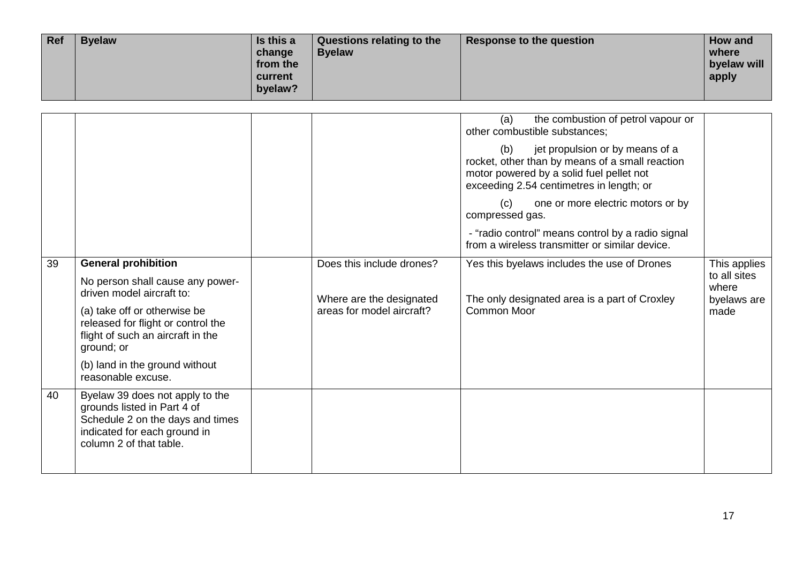| Ref | <b>Byelaw</b> | Is this a<br>change<br>from the<br>current<br>byelaw? | Questions relating to the<br><b>Byelaw</b> | Response to the question | How and<br>where<br>byelaw will<br>apply |
|-----|---------------|-------------------------------------------------------|--------------------------------------------|--------------------------|------------------------------------------|
|-----|---------------|-------------------------------------------------------|--------------------------------------------|--------------------------|------------------------------------------|

|    |                                                                                                                                                               |                           | the combustion of petrol vapour or<br>(a)<br>other combustible substances;<br>jet propulsion or by means of a<br>(b)<br>rocket, other than by means of a small reaction<br>motor powered by a solid fuel pellet not<br>exceeding 2.54 centimetres in length; or<br>one or more electric motors or by<br>(c)<br>compressed gas.<br>- "radio control" means control by a radio signal<br>from a wireless transmitter or similar device. |                                      |
|----|---------------------------------------------------------------------------------------------------------------------------------------------------------------|---------------------------|---------------------------------------------------------------------------------------------------------------------------------------------------------------------------------------------------------------------------------------------------------------------------------------------------------------------------------------------------------------------------------------------------------------------------------------|--------------------------------------|
| 39 | <b>General prohibition</b>                                                                                                                                    | Does this include drones? | Yes this byelaws includes the use of Drones                                                                                                                                                                                                                                                                                                                                                                                           | This applies                         |
|    | No person shall cause any power-<br>driven model aircraft to:                                                                                                 | Where are the designated  | The only designated area is a part of Croxley                                                                                                                                                                                                                                                                                                                                                                                         | to all sites<br>where<br>byelaws are |
|    | (a) take off or otherwise be<br>released for flight or control the<br>flight of such an aircraft in the<br>ground; or                                         | areas for model aircraft? | <b>Common Moor</b>                                                                                                                                                                                                                                                                                                                                                                                                                    | made                                 |
|    | (b) land in the ground without<br>reasonable excuse.                                                                                                          |                           |                                                                                                                                                                                                                                                                                                                                                                                                                                       |                                      |
| 40 | Byelaw 39 does not apply to the<br>grounds listed in Part 4 of<br>Schedule 2 on the days and times<br>indicated for each ground in<br>column 2 of that table. |                           |                                                                                                                                                                                                                                                                                                                                                                                                                                       |                                      |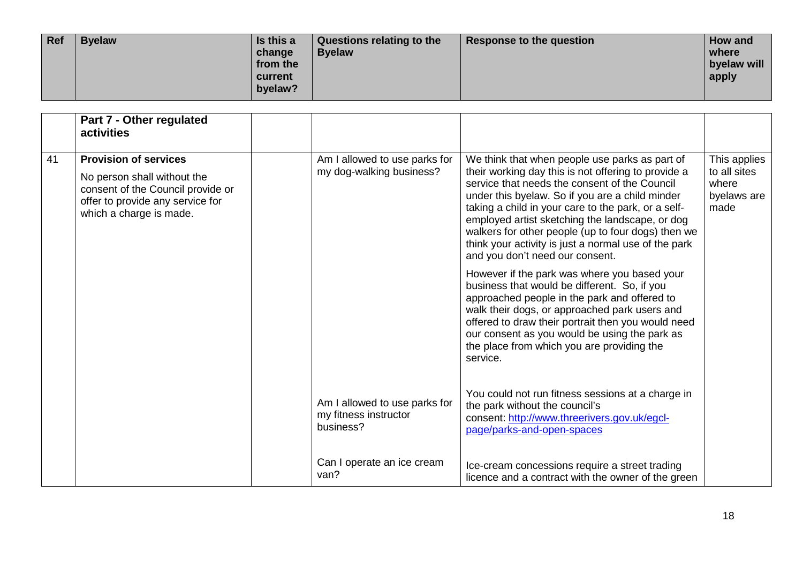| Ref | <b>Byelaw</b> | Is this a<br>change<br>from the<br>current<br>byelaw? | Questions relating to the<br><b>Byelaw</b> | Response to the question | How and<br>where<br>byelaw will<br>apply |
|-----|---------------|-------------------------------------------------------|--------------------------------------------|--------------------------|------------------------------------------|
|-----|---------------|-------------------------------------------------------|--------------------------------------------|--------------------------|------------------------------------------|

|    | Part 7 - Other regulated<br>activities                                                                                                                          |                                                                     |                                                                                                                                                                                                                                                                                                                                                                                                                                                                      |                                                              |
|----|-----------------------------------------------------------------------------------------------------------------------------------------------------------------|---------------------------------------------------------------------|----------------------------------------------------------------------------------------------------------------------------------------------------------------------------------------------------------------------------------------------------------------------------------------------------------------------------------------------------------------------------------------------------------------------------------------------------------------------|--------------------------------------------------------------|
| 41 | <b>Provision of services</b><br>No person shall without the<br>consent of the Council provide or<br>offer to provide any service for<br>which a charge is made. | Am I allowed to use parks for<br>my dog-walking business?           | We think that when people use parks as part of<br>their working day this is not offering to provide a<br>service that needs the consent of the Council<br>under this byelaw. So if you are a child minder<br>taking a child in your care to the park, or a self-<br>employed artist sketching the landscape, or dog<br>walkers for other people (up to four dogs) then we<br>think your activity is just a normal use of the park<br>and you don't need our consent. | This applies<br>to all sites<br>where<br>byelaws are<br>made |
|    |                                                                                                                                                                 |                                                                     | However if the park was where you based your<br>business that would be different. So, if you<br>approached people in the park and offered to<br>walk their dogs, or approached park users and<br>offered to draw their portrait then you would need<br>our consent as you would be using the park as<br>the place from which you are providing the<br>service.                                                                                                       |                                                              |
|    |                                                                                                                                                                 | Am I allowed to use parks for<br>my fitness instructor<br>business? | You could not run fitness sessions at a charge in<br>the park without the council's<br>consent: http://www.threerivers.gov.uk/egcl-<br>page/parks-and-open-spaces                                                                                                                                                                                                                                                                                                    |                                                              |
|    |                                                                                                                                                                 | Can I operate an ice cream<br>van?                                  | Ice-cream concessions require a street trading<br>licence and a contract with the owner of the green                                                                                                                                                                                                                                                                                                                                                                 |                                                              |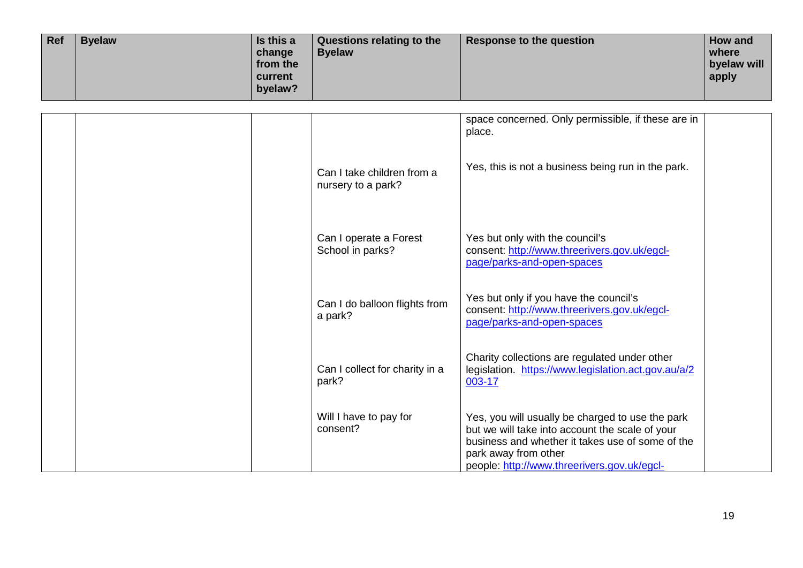| Ref | <b>Byelaw</b> | Is this a<br>change<br>from the<br><b>current</b><br>byelaw? | Questions relating to the<br><b>Byelaw</b> | Response to the question | How and<br>where<br>byelaw will<br>apply |
|-----|---------------|--------------------------------------------------------------|--------------------------------------------|--------------------------|------------------------------------------|
|-----|---------------|--------------------------------------------------------------|--------------------------------------------|--------------------------|------------------------------------------|

|  |                                                  | space concerned. Only permissible, if these are in<br>place.                                                                                                                                                                   |  |
|--|--------------------------------------------------|--------------------------------------------------------------------------------------------------------------------------------------------------------------------------------------------------------------------------------|--|
|  | Can I take children from a<br>nursery to a park? | Yes, this is not a business being run in the park.                                                                                                                                                                             |  |
|  | Can I operate a Forest<br>School in parks?       | Yes but only with the council's<br>consent: http://www.threerivers.gov.uk/egcl-<br>page/parks-and-open-spaces                                                                                                                  |  |
|  | Can I do balloon flights from<br>a park?         | Yes but only if you have the council's<br>consent: http://www.threerivers.gov.uk/egcl-<br>page/parks-and-open-spaces                                                                                                           |  |
|  | Can I collect for charity in a<br>park?          | Charity collections are regulated under other<br>legislation. https://www.legislation.act.gov.au/a/2<br>003-17                                                                                                                 |  |
|  | Will I have to pay for<br>consent?               | Yes, you will usually be charged to use the park<br>but we will take into account the scale of your<br>business and whether it takes use of some of the<br>park away from other<br>people: http://www.threerivers.gov.uk/egcl- |  |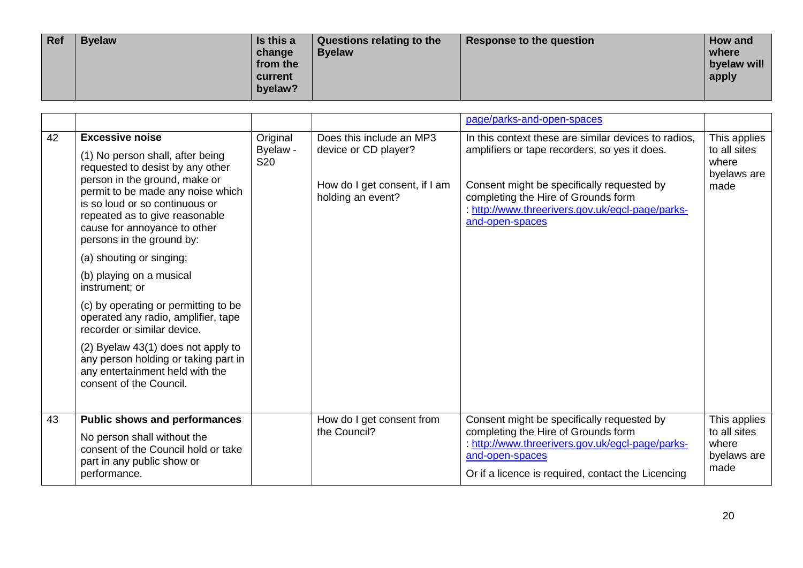| Ref | <b>Byelaw</b> | Is this a<br>change<br>from the<br><b>Current</b><br>byelaw? | Questions relating to the<br><b>Byelaw</b> | Response to the question | <b>How and</b><br>where<br>byelaw will<br>apply |
|-----|---------------|--------------------------------------------------------------|--------------------------------------------|--------------------------|-------------------------------------------------|
|-----|---------------|--------------------------------------------------------------|--------------------------------------------|--------------------------|-------------------------------------------------|

|    |                                                                                                                                                                                                                                                                                                       |                                    |                                                                                                        | page/parks-and-open-spaces                                                                                                                                                                                                                                        |                                                              |
|----|-------------------------------------------------------------------------------------------------------------------------------------------------------------------------------------------------------------------------------------------------------------------------------------------------------|------------------------------------|--------------------------------------------------------------------------------------------------------|-------------------------------------------------------------------------------------------------------------------------------------------------------------------------------------------------------------------------------------------------------------------|--------------------------------------------------------------|
| 42 | <b>Excessive noise</b><br>(1) No person shall, after being<br>requested to desist by any other<br>person in the ground, make or<br>permit to be made any noise which<br>is so loud or so continuous or<br>repeated as to give reasonable<br>cause for annoyance to other<br>persons in the ground by: | Original<br>Byelaw -<br><b>S20</b> | Does this include an MP3<br>device or CD player?<br>How do I get consent, if I am<br>holding an event? | In this context these are similar devices to radios,<br>amplifiers or tape recorders, so yes it does.<br>Consent might be specifically requested by<br>completing the Hire of Grounds form<br>: http://www.threerivers.gov.uk/egcl-page/parks-<br>and-open-spaces | This applies<br>to all sites<br>where<br>byelaws are<br>made |
|    | (a) shouting or singing;                                                                                                                                                                                                                                                                              |                                    |                                                                                                        |                                                                                                                                                                                                                                                                   |                                                              |
|    | (b) playing on a musical<br>instrument; or                                                                                                                                                                                                                                                            |                                    |                                                                                                        |                                                                                                                                                                                                                                                                   |                                                              |
|    | (c) by operating or permitting to be<br>operated any radio, amplifier, tape<br>recorder or similar device.                                                                                                                                                                                            |                                    |                                                                                                        |                                                                                                                                                                                                                                                                   |                                                              |
|    | (2) Byelaw 43(1) does not apply to<br>any person holding or taking part in<br>any entertainment held with the<br>consent of the Council.                                                                                                                                                              |                                    |                                                                                                        |                                                                                                                                                                                                                                                                   |                                                              |
| 43 | <b>Public shows and performances</b><br>No person shall without the<br>consent of the Council hold or take<br>part in any public show or<br>performance.                                                                                                                                              |                                    | How do I get consent from<br>the Council?                                                              | Consent might be specifically requested by<br>completing the Hire of Grounds form<br>: http://www.threerivers.gov.uk/egcl-page/parks-<br>and-open-spaces<br>Or if a licence is required, contact the Licencing                                                    | This applies<br>to all sites<br>where<br>byelaws are<br>made |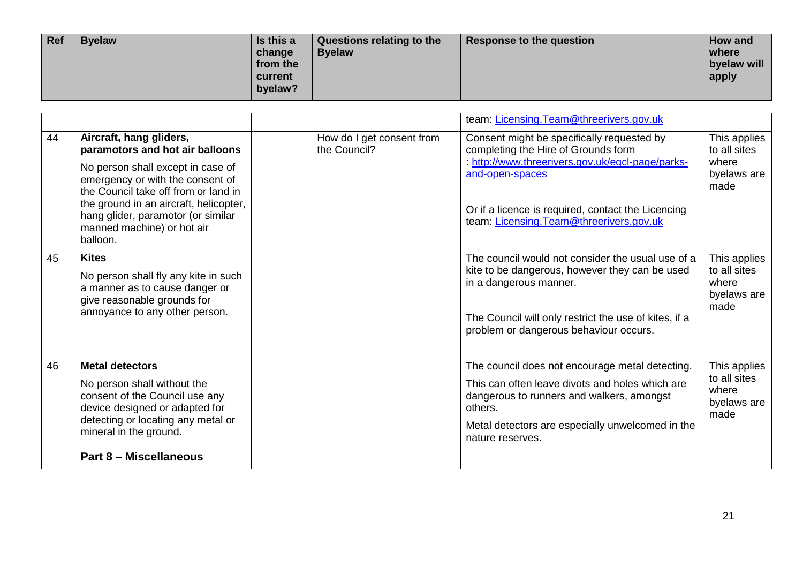| Ref | <b>Byelaw</b> | Is this a<br>change<br>from the<br>current<br>byelaw? | Questions relating to the<br><b>Byelaw</b> | Response to the question | How and<br>where<br>byelaw will<br>apply |
|-----|---------------|-------------------------------------------------------|--------------------------------------------|--------------------------|------------------------------------------|
|-----|---------------|-------------------------------------------------------|--------------------------------------------|--------------------------|------------------------------------------|

|    |                                                                                                                                                                                                                                                                                                       |                                           | team: Licensing. Team@threerivers.gov.uk                                                                                                                                                                                                                   |                                                              |
|----|-------------------------------------------------------------------------------------------------------------------------------------------------------------------------------------------------------------------------------------------------------------------------------------------------------|-------------------------------------------|------------------------------------------------------------------------------------------------------------------------------------------------------------------------------------------------------------------------------------------------------------|--------------------------------------------------------------|
| 44 | Aircraft, hang gliders,<br>paramotors and hot air balloons<br>No person shall except in case of<br>emergency or with the consent of<br>the Council take off from or land in<br>the ground in an aircraft, helicopter,<br>hang glider, paramotor (or similar<br>manned machine) or hot air<br>balloon. | How do I get consent from<br>the Council? | Consent might be specifically requested by<br>completing the Hire of Grounds form<br>: http://www.threerivers.gov.uk/egcl-page/parks-<br>and-open-spaces<br>Or if a licence is required, contact the Licencing<br>team: Licensing. Team@threerivers.gov.uk | This applies<br>to all sites<br>where<br>byelaws are<br>made |
| 45 | <b>Kites</b><br>No person shall fly any kite in such<br>a manner as to cause danger or<br>give reasonable grounds for<br>annoyance to any other person.                                                                                                                                               |                                           | The council would not consider the usual use of a<br>kite to be dangerous, however they can be used<br>in a dangerous manner.<br>The Council will only restrict the use of kites, if a<br>problem or dangerous behaviour occurs.                           | This applies<br>to all sites<br>where<br>byelaws are<br>made |
| 46 | <b>Metal detectors</b><br>No person shall without the<br>consent of the Council use any<br>device designed or adapted for<br>detecting or locating any metal or<br>mineral in the ground.                                                                                                             |                                           | The council does not encourage metal detecting.<br>This can often leave divots and holes which are<br>dangerous to runners and walkers, amongst<br>others.<br>Metal detectors are especially unwelcomed in the<br>nature reserves.                         | This applies<br>to all sites<br>where<br>byelaws are<br>made |
|    | <b>Part 8 - Miscellaneous</b>                                                                                                                                                                                                                                                                         |                                           |                                                                                                                                                                                                                                                            |                                                              |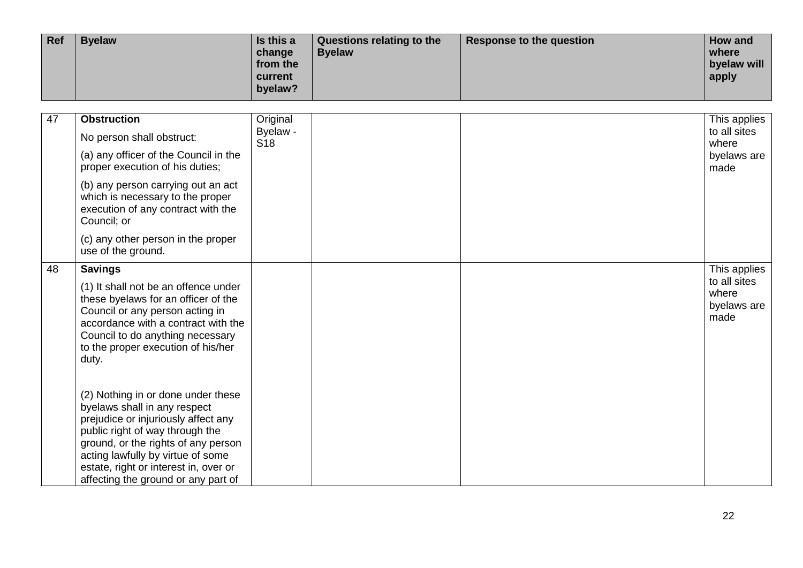| Ref | <b>Byelaw</b> | Is this a<br>change<br>from the<br>current<br>byelaw? | Questions relating to the<br><b>Byelaw</b> | Response to the question | How and<br>where<br>byelaw will<br>apply |
|-----|---------------|-------------------------------------------------------|--------------------------------------------|--------------------------|------------------------------------------|
|-----|---------------|-------------------------------------------------------|--------------------------------------------|--------------------------|------------------------------------------|

| $\overline{47}$ | <b>Obstruction</b><br>No person shall obstruct:<br>(a) any officer of the Council in the<br>proper execution of his duties;<br>(b) any person carrying out an act<br>which is necessary to the proper<br>execution of any contract with the<br>Council; or<br>(c) any other person in the proper<br>use of the ground.                                                                                                                                                                                                                                                 | Original<br>Byelaw -<br><b>S18</b> | This applies<br>to all sites<br>where<br>byelaws are<br>made |
|-----------------|------------------------------------------------------------------------------------------------------------------------------------------------------------------------------------------------------------------------------------------------------------------------------------------------------------------------------------------------------------------------------------------------------------------------------------------------------------------------------------------------------------------------------------------------------------------------|------------------------------------|--------------------------------------------------------------|
| 48              | <b>Savings</b><br>(1) It shall not be an offence under<br>these byelaws for an officer of the<br>Council or any person acting in<br>accordance with a contract with the<br>Council to do anything necessary<br>to the proper execution of his/her<br>duty.<br>(2) Nothing in or done under these<br>byelaws shall in any respect<br>prejudice or injuriously affect any<br>public right of way through the<br>ground, or the rights of any person<br>acting lawfully by virtue of some<br>estate, right or interest in, over or<br>affecting the ground or any part of |                                    | This applies<br>to all sites<br>where<br>byelaws are<br>made |